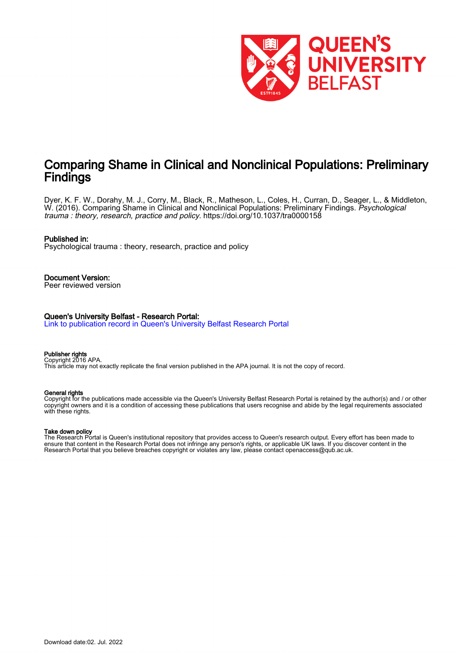

# Comparing Shame in Clinical and Nonclinical Populations: Preliminary **Findings**

Dyer, K. F. W., Dorahy, M. J., Corry, M., Black, R., Matheson, L., Coles, H., Curran, D., Seager, L., & Middleton, W. (2016). Comparing Shame in Clinical and Nonclinical Populations: Preliminary Findings. Psychological trauma : theory, research, practice and policy.<https://doi.org/10.1037/tra0000158>

#### Published in:

Psychological trauma : theory, research, practice and policy

## Document Version:

Peer reviewed version

#### Queen's University Belfast - Research Portal:

[Link to publication record in Queen's University Belfast Research Portal](https://pure.qub.ac.uk/en/publications/0cb28fd0-7aed-4bb1-a5c2-31d8034ab9c0)

#### Publisher rights Copyright 2016 APA.

This article may not exactly replicate the final version published in the APA journal. It is not the copy of record.

#### General rights

Copyright for the publications made accessible via the Queen's University Belfast Research Portal is retained by the author(s) and / or other copyright owners and it is a condition of accessing these publications that users recognise and abide by the legal requirements associated with these rights.

#### Take down policy

The Research Portal is Queen's institutional repository that provides access to Queen's research output. Every effort has been made to ensure that content in the Research Portal does not infringe any person's rights, or applicable UK laws. If you discover content in the Research Portal that you believe breaches copyright or violates any law, please contact openaccess@qub.ac.uk.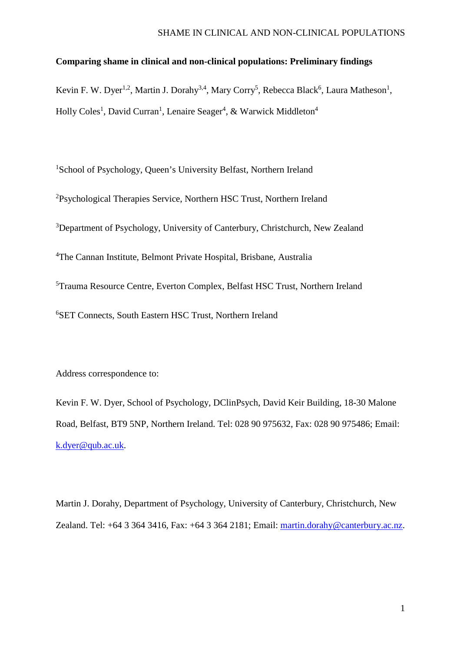## SHAME IN CLINICAL AND NON-CLINICAL POPULATIONS

## **Comparing shame in clinical and non-clinical populations: Preliminary findings**

Kevin F. W. Dyer<sup>1,2</sup>, Martin J. Dorahy<sup>3,4</sup>, Mary Corry<sup>5</sup>, Rebecca Black<sup>6</sup>, Laura Matheson<sup>1</sup>, Holly Coles<sup>1</sup>, David Curran<sup>1</sup>, Lenaire Seager<sup>4</sup>, & Warwick Middleton<sup>4</sup>

<sup>1</sup>School of Psychology, Queen's University Belfast, Northern Ireland <sup>2</sup>Psychological Therapies Service, Northern HSC Trust, Northern Ireland <sup>3</sup>Department of Psychology, University of Canterbury, Christchurch, New Zealand <sup>4</sup>The Cannan Institute, Belmont Private Hospital, Brisbane, Australia 5 Trauma Resource Centre, Everton Complex, Belfast HSC Trust, Northern Ireland 6 SET Connects, South Eastern HSC Trust, Northern Ireland

Address correspondence to:

Kevin F. W. Dyer, School of Psychology, DClinPsych, David Keir Building, 18-30 Malone Road, Belfast, BT9 5NP, Northern Ireland. Tel: 028 90 975632, Fax: 028 90 975486; Email: [k.dyer@qub.ac.uk.](mailto:k.dyer@qub.ac.uk)

Martin J. Dorahy, Department of Psychology, University of Canterbury, Christchurch, New Zealand. Tel: +64 3 364 3416, Fax: +64 3 364 2181; Email: [martin.dorahy@canterbury.ac.nz.](mailto:martin.dorahy@canterbury.ac.nz)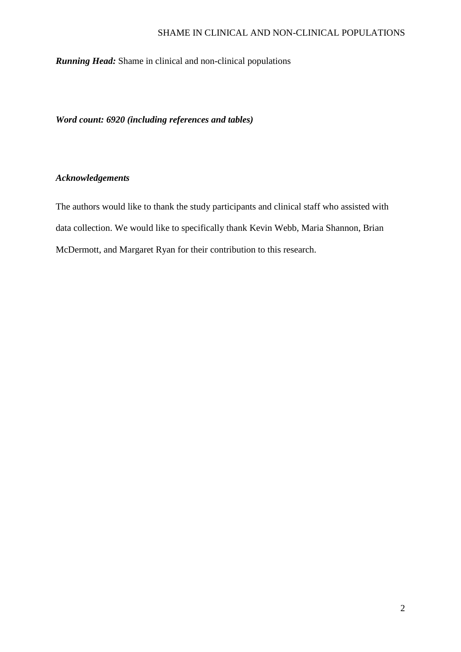## SHAME IN CLINICAL AND NON-CLINICAL POPULATIONS

*Running Head:* Shame in clinical and non-clinical populations

*Word count: 6920 (including references and tables)*

## *Acknowledgements*

The authors would like to thank the study participants and clinical staff who assisted with data collection. We would like to specifically thank Kevin Webb, Maria Shannon, Brian McDermott, and Margaret Ryan for their contribution to this research.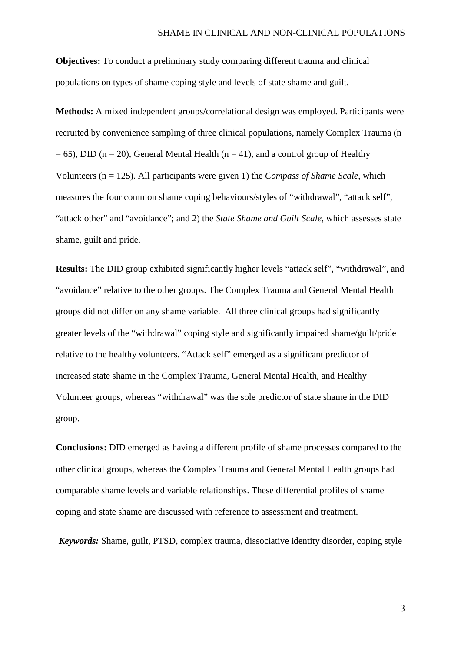**Objectives:** To conduct a preliminary study comparing different trauma and clinical populations on types of shame coping style and levels of state shame and guilt.

**Methods:** A mixed independent groups/correlational design was employed. Participants were recruited by convenience sampling of three clinical populations, namely Complex Trauma (n  $= 65$ ), DID (n = 20), General Mental Health (n = 41), and a control group of Healthy Volunteers (n = 125). All participants were given 1) the *Compass of Shame Scale*, which measures the four common shame coping behaviours/styles of "withdrawal", "attack self", "attack other" and "avoidance"; and 2) the *State Shame and Guilt Scale*, which assesses state shame, guilt and pride.

**Results:** The DID group exhibited significantly higher levels "attack self", "withdrawal", and "avoidance" relative to the other groups. The Complex Trauma and General Mental Health groups did not differ on any shame variable. All three clinical groups had significantly greater levels of the "withdrawal" coping style and significantly impaired shame/guilt/pride relative to the healthy volunteers. "Attack self" emerged as a significant predictor of increased state shame in the Complex Trauma, General Mental Health, and Healthy Volunteer groups, whereas "withdrawal" was the sole predictor of state shame in the DID group.

**Conclusions:** DID emerged as having a different profile of shame processes compared to the other clinical groups, whereas the Complex Trauma and General Mental Health groups had comparable shame levels and variable relationships. These differential profiles of shame coping and state shame are discussed with reference to assessment and treatment.

*Keywords:* Shame, guilt, PTSD, complex trauma, dissociative identity disorder, coping style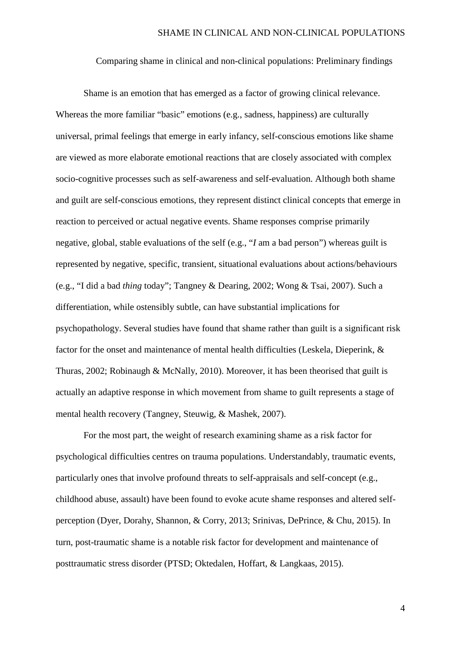Comparing shame in clinical and non-clinical populations: Preliminary findings

Shame is an emotion that has emerged as a factor of growing clinical relevance. Whereas the more familiar "basic" emotions (e.g., sadness, happiness) are culturally universal, primal feelings that emerge in early infancy, self-conscious emotions like shame are viewed as more elaborate emotional reactions that are closely associated with complex socio-cognitive processes such as self-awareness and self-evaluation. Although both shame and guilt are self-conscious emotions, they represent distinct clinical concepts that emerge in reaction to perceived or actual negative events. Shame responses comprise primarily negative, global, stable evaluations of the self (e.g., "*I* am a bad person") whereas guilt is represented by negative, specific, transient, situational evaluations about actions/behaviours (e.g., "I did a bad *thing* today"; Tangney & Dearing, 2002; Wong & Tsai, 2007). Such a differentiation, while ostensibly subtle, can have substantial implications for psychopathology. Several studies have found that shame rather than guilt is a significant risk factor for the onset and maintenance of mental health difficulties (Leskela, Dieperink, & Thuras, 2002; Robinaugh & McNally, 2010). Moreover, it has been theorised that guilt is actually an adaptive response in which movement from shame to guilt represents a stage of mental health recovery (Tangney, Steuwig, & Mashek, 2007).

For the most part, the weight of research examining shame as a risk factor for psychological difficulties centres on trauma populations. Understandably, traumatic events, particularly ones that involve profound threats to self-appraisals and self-concept (e.g., childhood abuse, assault) have been found to evoke acute shame responses and altered selfperception (Dyer, Dorahy, Shannon, & Corry, 2013; Srinivas, DePrince, & Chu, 2015). In turn, post-traumatic shame is a notable risk factor for development and maintenance of posttraumatic stress disorder (PTSD; Oktedalen, Hoffart, & Langkaas, 2015).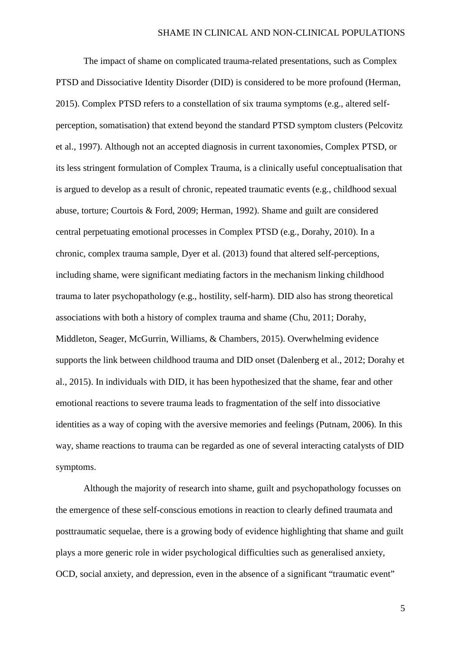The impact of shame on complicated trauma-related presentations, such as Complex PTSD and Dissociative Identity Disorder (DID) is considered to be more profound (Herman, 2015). Complex PTSD refers to a constellation of six trauma symptoms (e.g., altered selfperception, somatisation) that extend beyond the standard PTSD symptom clusters (Pelcovitz et al., 1997). Although not an accepted diagnosis in current taxonomies, Complex PTSD, or its less stringent formulation of Complex Trauma, is a clinically useful conceptualisation that is argued to develop as a result of chronic, repeated traumatic events (e.g., childhood sexual abuse, torture; Courtois & Ford, 2009; Herman, 1992). Shame and guilt are considered central perpetuating emotional processes in Complex PTSD (e.g., Dorahy, 2010). In a chronic, complex trauma sample, Dyer et al. (2013) found that altered self-perceptions, including shame, were significant mediating factors in the mechanism linking childhood trauma to later psychopathology (e.g., hostility, self-harm). DID also has strong theoretical associations with both a history of complex trauma and shame (Chu, 2011; Dorahy, Middleton, Seager, McGurrin, Williams, & Chambers, 2015). Overwhelming evidence supports the link between childhood trauma and DID onset (Dalenberg et al., 2012; Dorahy et al., 2015). In individuals with DID, it has been hypothesized that the shame, fear and other emotional reactions to severe trauma leads to fragmentation of the self into dissociative identities as a way of coping with the aversive memories and feelings (Putnam, 2006). In this way, shame reactions to trauma can be regarded as one of several interacting catalysts of DID symptoms.

Although the majority of research into shame, guilt and psychopathology focusses on the emergence of these self-conscious emotions in reaction to clearly defined traumata and posttraumatic sequelae, there is a growing body of evidence highlighting that shame and guilt plays a more generic role in wider psychological difficulties such as generalised anxiety, OCD, social anxiety, and depression, even in the absence of a significant "traumatic event"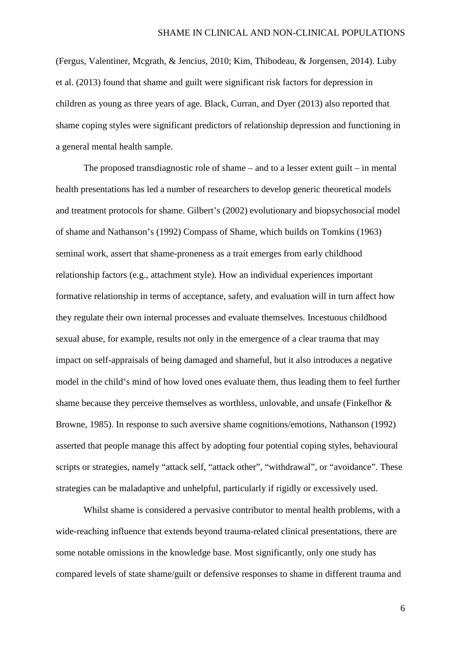(Fergus, Valentiner, Mcgrath, & Jencius, 2010; Kim, Thibodeau, & Jorgensen, 2014). Luby et al. (2013) found that shame and guilt were significant risk factors for depression in children as young as three years of age. Black, Curran, and Dyer (2013) also reported that shame coping styles were significant predictors of relationship depression and functioning in a general mental health sample.

The proposed transdiagnostic role of shame – and to a lesser extent guilt – in mental health presentations has led a number of researchers to develop generic theoretical models and treatment protocols for shame. Gilbert's (2002) evolutionary and biopsychosocial model of shame and Nathanson's (1992) Compass of Shame, which builds on Tomkins (1963) seminal work, assert that shame-proneness as a trait emerges from early childhood relationship factors (e.g., attachment style). How an individual experiences important formative relationship in terms of acceptance, safety, and evaluation will in turn affect how they regulate their own internal processes and evaluate themselves. Incestuous childhood sexual abuse, for example, results not only in the emergence of a clear trauma that may impact on self-appraisals of being damaged and shameful, but it also introduces a negative model in the child's mind of how loved ones evaluate them, thus leading them to feel further shame because they perceive themselves as worthless, unlovable, and unsafe (Finkelhor & Browne, 1985). In response to such aversive shame cognitions/emotions, Nathanson (1992) asserted that people manage this affect by adopting four potential coping styles, behavioural scripts or strategies, namely "attack self, "attack other", "withdrawal", or "avoidance". These strategies can be maladaptive and unhelpful, particularly if rigidly or excessively used.

Whilst shame is considered a pervasive contributor to mental health problems, with a wide-reaching influence that extends beyond trauma-related clinical presentations, there are some notable omissions in the knowledge base. Most significantly, only one study has compared levels of state shame/guilt or defensive responses to shame in different trauma and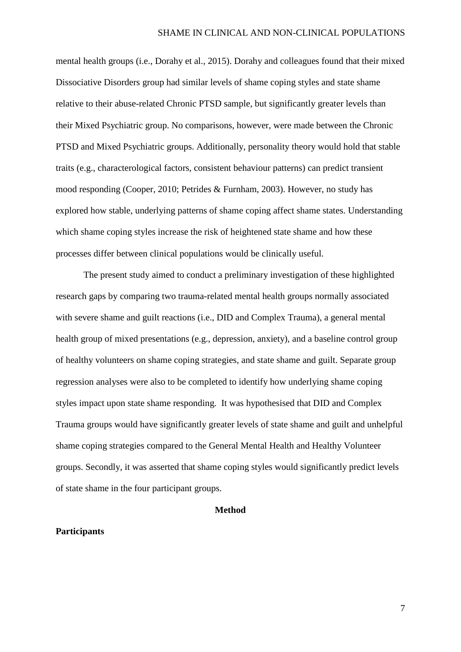mental health groups (i.e., Dorahy et al., 2015). Dorahy and colleagues found that their mixed Dissociative Disorders group had similar levels of shame coping styles and state shame relative to their abuse-related Chronic PTSD sample, but significantly greater levels than their Mixed Psychiatric group. No comparisons, however, were made between the Chronic PTSD and Mixed Psychiatric groups. Additionally, personality theory would hold that stable traits (e.g., characterological factors, consistent behaviour patterns) can predict transient mood responding (Cooper, 2010; Petrides & Furnham, 2003). However, no study has explored how stable, underlying patterns of shame coping affect shame states. Understanding which shame coping styles increase the risk of heightened state shame and how these processes differ between clinical populations would be clinically useful.

The present study aimed to conduct a preliminary investigation of these highlighted research gaps by comparing two trauma-related mental health groups normally associated with severe shame and guilt reactions (i.e., DID and Complex Trauma), a general mental health group of mixed presentations (e.g., depression, anxiety), and a baseline control group of healthy volunteers on shame coping strategies, and state shame and guilt. Separate group regression analyses were also to be completed to identify how underlying shame coping styles impact upon state shame responding. It was hypothesised that DID and Complex Trauma groups would have significantly greater levels of state shame and guilt and unhelpful shame coping strategies compared to the General Mental Health and Healthy Volunteer groups. Secondly, it was asserted that shame coping styles would significantly predict levels of state shame in the four participant groups.

#### **Method**

## **Participants**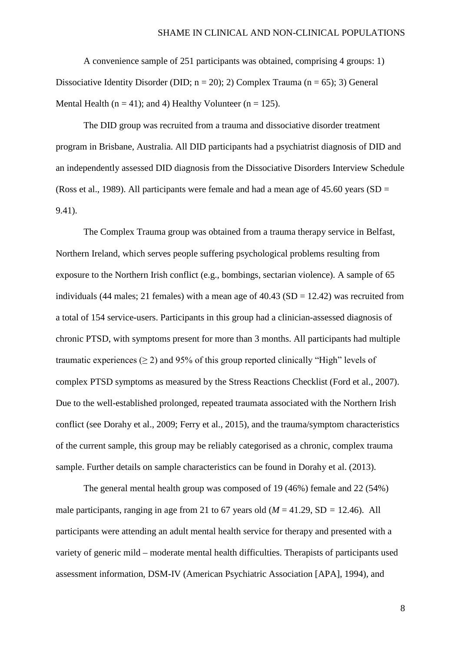A convenience sample of 251 participants was obtained, comprising 4 groups: 1) Dissociative Identity Disorder (DID;  $n = 20$ ); 2) Complex Trauma ( $n = 65$ ); 3) General Mental Health ( $n = 41$ ); and 4) Healthy Volunteer ( $n = 125$ ).

The DID group was recruited from a trauma and dissociative disorder treatment program in Brisbane, Australia. All DID participants had a psychiatrist diagnosis of DID and an independently assessed DID diagnosis from the Dissociative Disorders Interview Schedule (Ross et al., 1989). All participants were female and had a mean age of  $45.60$  years (SD = 9.41).

The Complex Trauma group was obtained from a trauma therapy service in Belfast, Northern Ireland, which serves people suffering psychological problems resulting from exposure to the Northern Irish conflict (e.g., bombings, sectarian violence). A sample of 65 individuals (44 males; 21 females) with a mean age of  $40.43$  (SD = 12.42) was recruited from a total of 154 service-users. Participants in this group had a clinician-assessed diagnosis of chronic PTSD, with symptoms present for more than 3 months. All participants had multiple traumatic experiences  $(2)$  and 95% of this group reported clinically "High" levels of complex PTSD symptoms as measured by the Stress Reactions Checklist (Ford et al., 2007). Due to the well-established prolonged, repeated traumata associated with the Northern Irish conflict (see Dorahy et al., 2009; Ferry et al., 2015), and the trauma/symptom characteristics of the current sample, this group may be reliably categorised as a chronic, complex trauma sample. Further details on sample characteristics can be found in Dorahy et al. (2013).

The general mental health group was composed of 19 (46%) female and 22 (54%) male participants, ranging in age from 21 to 67 years old  $(M = 41.29, SD = 12.46)$ . All participants were attending an adult mental health service for therapy and presented with a variety of generic mild – moderate mental health difficulties. Therapists of participants used assessment information, DSM-IV (American Psychiatric Association [APA], 1994), and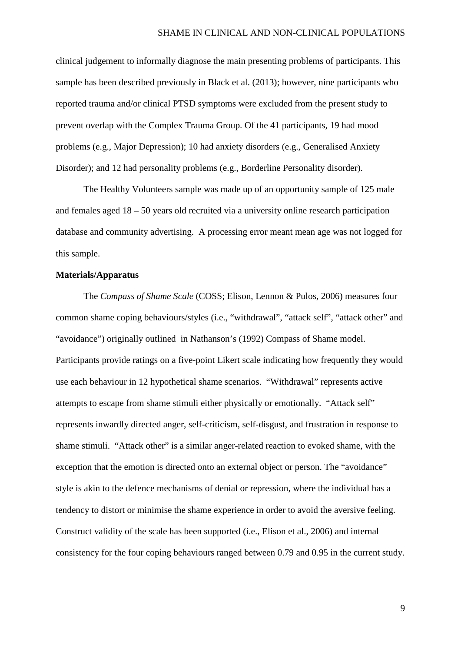clinical judgement to informally diagnose the main presenting problems of participants. This sample has been described previously in Black et al. (2013); however, nine participants who reported trauma and/or clinical PTSD symptoms were excluded from the present study to prevent overlap with the Complex Trauma Group. Of the 41 participants, 19 had mood problems (e.g., Major Depression); 10 had anxiety disorders (e.g., Generalised Anxiety Disorder); and 12 had personality problems (e.g., Borderline Personality disorder).

The Healthy Volunteers sample was made up of an opportunity sample of 125 male and females aged 18 – 50 years old recruited via a university online research participation database and community advertising. A processing error meant mean age was not logged for this sample.

## **Materials/Apparatus**

The *Compass of Shame Scale* (COSS; Elison, Lennon & Pulos, 2006) measures four common shame coping behaviours/styles (i.e., "withdrawal", "attack self", "attack other" and "avoidance") originally outlined in Nathanson's (1992) Compass of Shame model. Participants provide ratings on a five-point Likert scale indicating how frequently they would use each behaviour in 12 hypothetical shame scenarios. "Withdrawal" represents active attempts to escape from shame stimuli either physically or emotionally. "Attack self" represents inwardly directed anger, self-criticism, self-disgust, and frustration in response to shame stimuli. "Attack other" is a similar anger-related reaction to evoked shame, with the exception that the emotion is directed onto an external object or person. The "avoidance" style is akin to the defence mechanisms of denial or repression, where the individual has a tendency to distort or minimise the shame experience in order to avoid the aversive feeling. Construct validity of the scale has been supported (i.e., Elison et al., 2006) and internal consistency for the four coping behaviours ranged between 0.79 and 0.95 in the current study.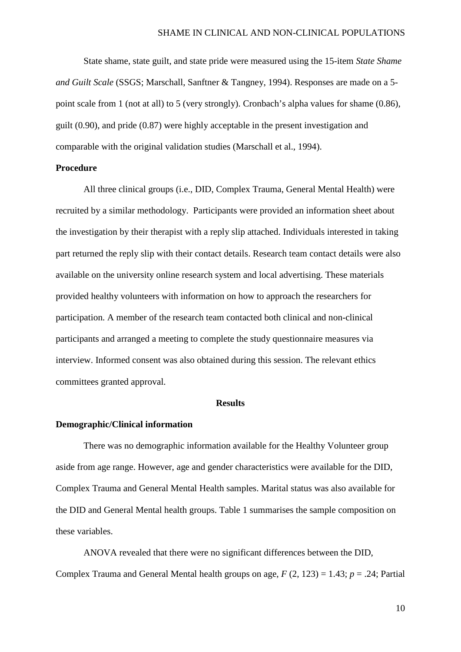State shame, state guilt, and state pride were measured using the 15-item *State Shame and Guilt Scale* (SSGS; Marschall, Sanftner & Tangney, 1994). Responses are made on a 5 point scale from 1 (not at all) to 5 (very strongly). Cronbach's alpha values for shame (0.86), guilt (0.90), and pride (0.87) were highly acceptable in the present investigation and comparable with the original validation studies (Marschall et al., 1994).

## **Procedure**

All three clinical groups (i.e., DID, Complex Trauma, General Mental Health) were recruited by a similar methodology. Participants were provided an information sheet about the investigation by their therapist with a reply slip attached. Individuals interested in taking part returned the reply slip with their contact details. Research team contact details were also available on the university online research system and local advertising. These materials provided healthy volunteers with information on how to approach the researchers for participation. A member of the research team contacted both clinical and non-clinical participants and arranged a meeting to complete the study questionnaire measures via interview. Informed consent was also obtained during this session. The relevant ethics committees granted approval.

## **Results**

#### **Demographic/Clinical information**

There was no demographic information available for the Healthy Volunteer group aside from age range. However, age and gender characteristics were available for the DID, Complex Trauma and General Mental Health samples. Marital status was also available for the DID and General Mental health groups. Table 1 summarises the sample composition on these variables.

ANOVA revealed that there were no significant differences between the DID, Complex Trauma and General Mental health groups on age, *F* (2, 123) = 1.43; *p* = .24; Partial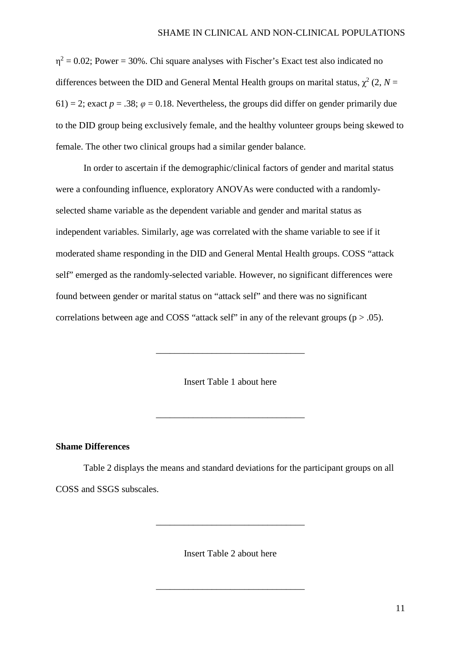$\eta^2 = 0.02$ ; Power = 30%. Chi square analyses with Fischer's Exact test also indicated no differences between the DID and General Mental Health groups on marital status,  $\gamma^2$  (2, *N* = 61) = 2; exact  $p = 0.38$ ;  $\varphi = 0.18$ . Nevertheless, the groups did differ on gender primarily due to the DID group being exclusively female, and the healthy volunteer groups being skewed to female. The other two clinical groups had a similar gender balance.

In order to ascertain if the demographic/clinical factors of gender and marital status were a confounding influence, exploratory ANOVAs were conducted with a randomlyselected shame variable as the dependent variable and gender and marital status as independent variables. Similarly, age was correlated with the shame variable to see if it moderated shame responding in the DID and General Mental Health groups. COSS "attack self" emerged as the randomly-selected variable. However, no significant differences were found between gender or marital status on "attack self" and there was no significant correlations between age and COSS "attack self" in any of the relevant groups ( $p > .05$ ).

Insert Table 1 about here

\_\_\_\_\_\_\_\_\_\_\_\_\_\_\_\_\_\_\_\_\_\_\_\_\_\_\_\_\_\_\_\_

\_\_\_\_\_\_\_\_\_\_\_\_\_\_\_\_\_\_\_\_\_\_\_\_\_\_\_\_\_\_\_\_

## **Shame Differences**

Table 2 displays the means and standard deviations for the participant groups on all COSS and SSGS subscales.

Insert Table 2 about here

\_\_\_\_\_\_\_\_\_\_\_\_\_\_\_\_\_\_\_\_\_\_\_\_\_\_\_\_\_\_\_\_

\_\_\_\_\_\_\_\_\_\_\_\_\_\_\_\_\_\_\_\_\_\_\_\_\_\_\_\_\_\_\_\_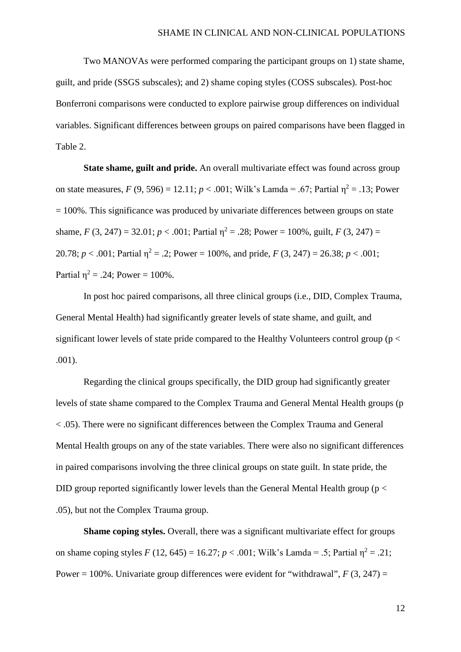Two MANOVAs were performed comparing the participant groups on 1) state shame, guilt, and pride (SSGS subscales); and 2) shame coping styles (COSS subscales). Post-hoc Bonferroni comparisons were conducted to explore pairwise group differences on individual variables. Significant differences between groups on paired comparisons have been flagged in Table 2.

**State shame, guilt and pride.** An overall multivariate effect was found across group on state measures,  $F(9, 596) = 12.11$ ;  $p < .001$ ; Wilk's Lamda = .67; Partial  $\eta^2 = .13$ ; Power  $= 100\%$ . This significance was produced by univariate differences between groups on state shame,  $F(3, 247) = 32.01$ ;  $p < .001$ ; Partial  $\eta^2 = .28$ ; Power = 100%, guilt,  $F(3, 247) =$ 20.78;  $p < .001$ ; Partial  $\eta^2 = .2$ ; Power = 100%, and pride,  $F(3, 247) = 26.38$ ;  $p < .001$ ; Partial  $\eta^2 = .24$ ; Power = 100%.

In post hoc paired comparisons, all three clinical groups (i.e., DID, Complex Trauma, General Mental Health) had significantly greater levels of state shame, and guilt, and significant lower levels of state pride compared to the Healthy Volunteers control group ( $p <$ .001).

Regarding the clinical groups specifically, the DID group had significantly greater levels of state shame compared to the Complex Trauma and General Mental Health groups (p < .05). There were no significant differences between the Complex Trauma and General Mental Health groups on any of the state variables. There were also no significant differences in paired comparisons involving the three clinical groups on state guilt. In state pride, the DID group reported significantly lower levels than the General Mental Health group ( $p <$ .05), but not the Complex Trauma group.

**Shame coping styles.** Overall, there was a significant multivariate effect for groups on shame coping styles  $F(12, 645) = 16.27$ ;  $p < .001$ ; Wilk's Lamda = .5; Partial  $\eta^2 = .21$ ; Power = 100%. Univariate group differences were evident for "withdrawal",  $F(3, 247) =$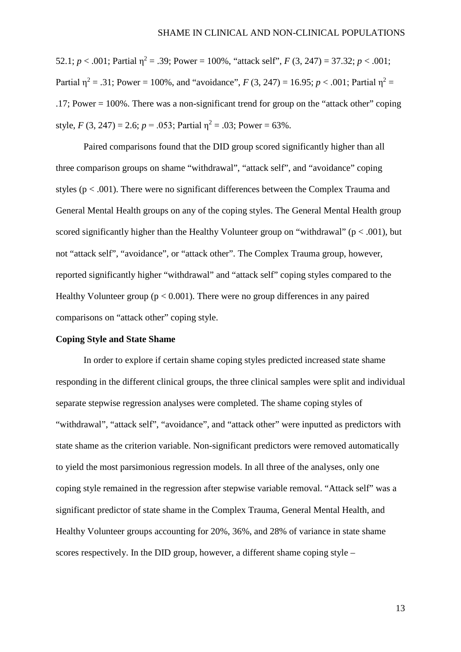52.1;  $p < .001$ ; Partial  $\eta^2 = .39$ ; Power = 100%, "attack self",  $F(3, 247) = 37.32$ ;  $p < .001$ ; Partial  $n^2 = .31$ ; Power = 100%, and "avoidance", *F* (3, 247) = 16.95; *p* < .001; Partial  $n^2 =$ .17; Power = 100%. There was a non-significant trend for group on the "attack other" coping style,  $F(3, 247) = 2.6$ ;  $p = .053$ ; Partial  $n^2 = .03$ ; Power = 63%.

Paired comparisons found that the DID group scored significantly higher than all three comparison groups on shame "withdrawal", "attack self", and "avoidance" coping styles ( $p < .001$ ). There were no significant differences between the Complex Trauma and General Mental Health groups on any of the coping styles. The General Mental Health group scored significantly higher than the Healthy Volunteer group on "withdrawal" ( $p < .001$ ), but not "attack self", "avoidance", or "attack other". The Complex Trauma group, however, reported significantly higher "withdrawal" and "attack self" coping styles compared to the Healthy Volunteer group ( $p < 0.001$ ). There were no group differences in any paired comparisons on "attack other" coping style.

#### **Coping Style and State Shame**

In order to explore if certain shame coping styles predicted increased state shame responding in the different clinical groups, the three clinical samples were split and individual separate stepwise regression analyses were completed. The shame coping styles of "withdrawal", "attack self", "avoidance", and "attack other" were inputted as predictors with state shame as the criterion variable. Non-significant predictors were removed automatically to yield the most parsimonious regression models. In all three of the analyses, only one coping style remained in the regression after stepwise variable removal. "Attack self" was a significant predictor of state shame in the Complex Trauma, General Mental Health, and Healthy Volunteer groups accounting for 20%, 36%, and 28% of variance in state shame scores respectively. In the DID group, however, a different shame coping style –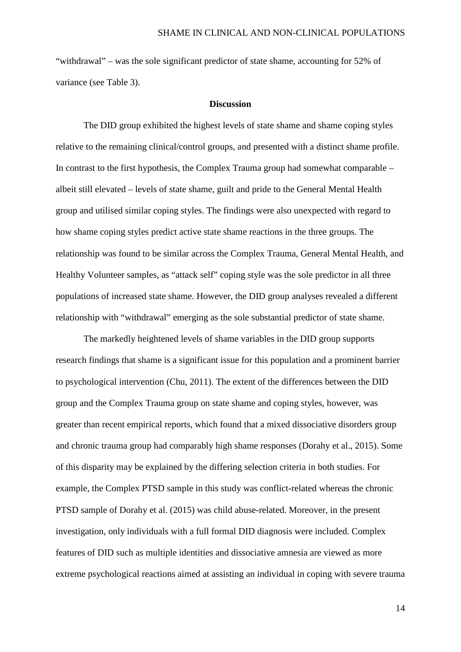"withdrawal" – was the sole significant predictor of state shame, accounting for 52% of variance (see Table 3).

#### **Discussion**

The DID group exhibited the highest levels of state shame and shame coping styles relative to the remaining clinical/control groups, and presented with a distinct shame profile. In contrast to the first hypothesis, the Complex Trauma group had somewhat comparable – albeit still elevated – levels of state shame, guilt and pride to the General Mental Health group and utilised similar coping styles. The findings were also unexpected with regard to how shame coping styles predict active state shame reactions in the three groups. The relationship was found to be similar across the Complex Trauma, General Mental Health, and Healthy Volunteer samples, as "attack self" coping style was the sole predictor in all three populations of increased state shame. However, the DID group analyses revealed a different relationship with "withdrawal" emerging as the sole substantial predictor of state shame.

The markedly heightened levels of shame variables in the DID group supports research findings that shame is a significant issue for this population and a prominent barrier to psychological intervention (Chu, 2011). The extent of the differences between the DID group and the Complex Trauma group on state shame and coping styles, however, was greater than recent empirical reports, which found that a mixed dissociative disorders group and chronic trauma group had comparably high shame responses (Dorahy et al., 2015). Some of this disparity may be explained by the differing selection criteria in both studies. For example, the Complex PTSD sample in this study was conflict-related whereas the chronic PTSD sample of Dorahy et al. (2015) was child abuse-related. Moreover, in the present investigation, only individuals with a full formal DID diagnosis were included. Complex features of DID such as multiple identities and dissociative amnesia are viewed as more extreme psychological reactions aimed at assisting an individual in coping with severe trauma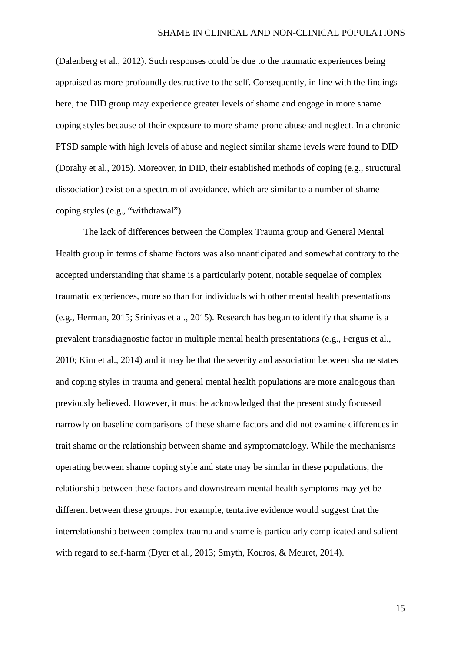(Dalenberg et al., 2012). Such responses could be due to the traumatic experiences being appraised as more profoundly destructive to the self. Consequently, in line with the findings here, the DID group may experience greater levels of shame and engage in more shame coping styles because of their exposure to more shame-prone abuse and neglect. In a chronic PTSD sample with high levels of abuse and neglect similar shame levels were found to DID (Dorahy et al., 2015). Moreover, in DID, their established methods of coping (e.g., structural dissociation) exist on a spectrum of avoidance, which are similar to a number of shame coping styles (e.g., "withdrawal").

The lack of differences between the Complex Trauma group and General Mental Health group in terms of shame factors was also unanticipated and somewhat contrary to the accepted understanding that shame is a particularly potent, notable sequelae of complex traumatic experiences, more so than for individuals with other mental health presentations (e.g., Herman, 2015; Srinivas et al., 2015). Research has begun to identify that shame is a prevalent transdiagnostic factor in multiple mental health presentations (e.g., Fergus et al., 2010; Kim et al., 2014) and it may be that the severity and association between shame states and coping styles in trauma and general mental health populations are more analogous than previously believed. However, it must be acknowledged that the present study focussed narrowly on baseline comparisons of these shame factors and did not examine differences in trait shame or the relationship between shame and symptomatology. While the mechanisms operating between shame coping style and state may be similar in these populations, the relationship between these factors and downstream mental health symptoms may yet be different between these groups. For example, tentative evidence would suggest that the interrelationship between complex trauma and shame is particularly complicated and salient with regard to self-harm (Dyer et al., 2013; Smyth, Kouros, & Meuret, 2014).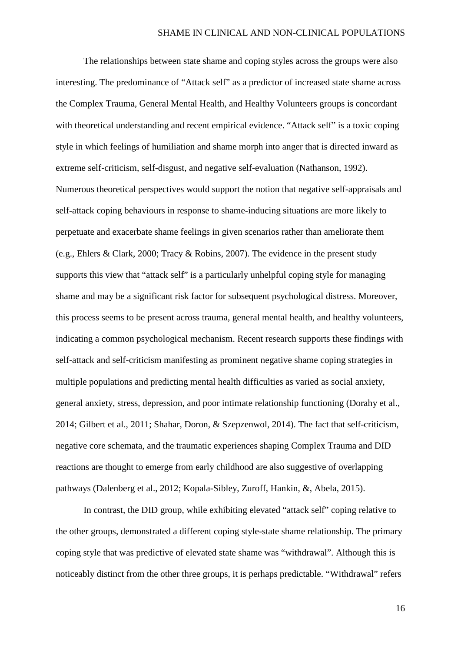The relationships between state shame and coping styles across the groups were also interesting. The predominance of "Attack self" as a predictor of increased state shame across the Complex Trauma, General Mental Health, and Healthy Volunteers groups is concordant with theoretical understanding and recent empirical evidence. "Attack self" is a toxic coping style in which feelings of humiliation and shame morph into anger that is directed inward as extreme self-criticism, self-disgust, and negative self-evaluation (Nathanson, 1992). Numerous theoretical perspectives would support the notion that negative self-appraisals and self-attack coping behaviours in response to shame-inducing situations are more likely to perpetuate and exacerbate shame feelings in given scenarios rather than ameliorate them (e.g., Ehlers & Clark, 2000; Tracy & Robins, 2007). The evidence in the present study supports this view that "attack self" is a particularly unhelpful coping style for managing shame and may be a significant risk factor for subsequent psychological distress. Moreover, this process seems to be present across trauma, general mental health, and healthy volunteers, indicating a common psychological mechanism. Recent research supports these findings with self-attack and self-criticism manifesting as prominent negative shame coping strategies in multiple populations and predicting mental health difficulties as varied as social anxiety, general anxiety, stress, depression, and poor intimate relationship functioning (Dorahy et al., 2014; Gilbert et al., 2011; Shahar, Doron, & Szepzenwol, 2014). The fact that self-criticism, negative core schemata, and the traumatic experiences shaping Complex Trauma and DID reactions are thought to emerge from early childhood are also suggestive of overlapping pathways (Dalenberg et al., 2012; Kopala-Sibley, Zuroff, Hankin, &, Abela, 2015).

In contrast, the DID group, while exhibiting elevated "attack self" coping relative to the other groups, demonstrated a different coping style-state shame relationship. The primary coping style that was predictive of elevated state shame was "withdrawal". Although this is noticeably distinct from the other three groups, it is perhaps predictable. "Withdrawal" refers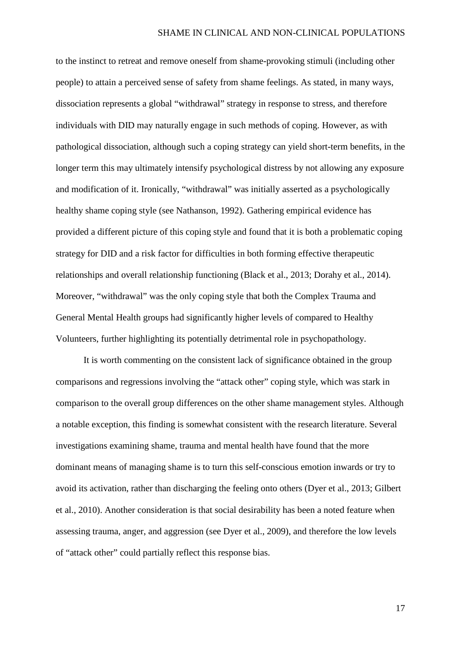to the instinct to retreat and remove oneself from shame-provoking stimuli (including other people) to attain a perceived sense of safety from shame feelings. As stated, in many ways, dissociation represents a global "withdrawal" strategy in response to stress, and therefore individuals with DID may naturally engage in such methods of coping. However, as with pathological dissociation, although such a coping strategy can yield short-term benefits, in the longer term this may ultimately intensify psychological distress by not allowing any exposure and modification of it. Ironically, "withdrawal" was initially asserted as a psychologically healthy shame coping style (see Nathanson, 1992). Gathering empirical evidence has provided a different picture of this coping style and found that it is both a problematic coping strategy for DID and a risk factor for difficulties in both forming effective therapeutic relationships and overall relationship functioning (Black et al., 2013; Dorahy et al., 2014). Moreover, "withdrawal" was the only coping style that both the Complex Trauma and General Mental Health groups had significantly higher levels of compared to Healthy Volunteers, further highlighting its potentially detrimental role in psychopathology.

It is worth commenting on the consistent lack of significance obtained in the group comparisons and regressions involving the "attack other" coping style, which was stark in comparison to the overall group differences on the other shame management styles. Although a notable exception, this finding is somewhat consistent with the research literature. Several investigations examining shame, trauma and mental health have found that the more dominant means of managing shame is to turn this self-conscious emotion inwards or try to avoid its activation, rather than discharging the feeling onto others (Dyer et al., 2013; Gilbert et al., 2010). Another consideration is that social desirability has been a noted feature when assessing trauma, anger, and aggression (see Dyer et al., 2009), and therefore the low levels of "attack other" could partially reflect this response bias.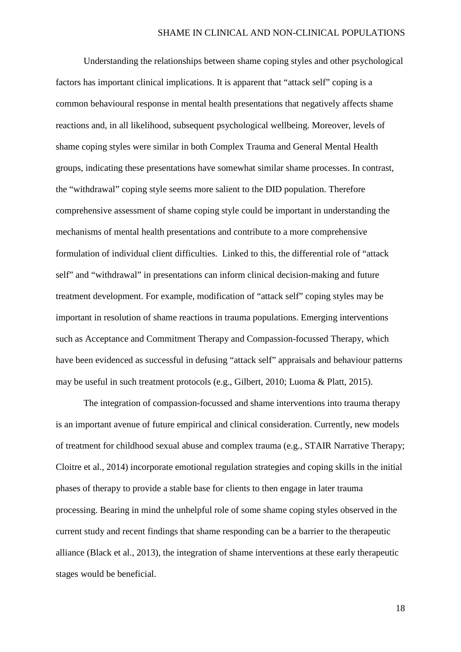Understanding the relationships between shame coping styles and other psychological factors has important clinical implications. It is apparent that "attack self" coping is a common behavioural response in mental health presentations that negatively affects shame reactions and, in all likelihood, subsequent psychological wellbeing. Moreover, levels of shame coping styles were similar in both Complex Trauma and General Mental Health groups, indicating these presentations have somewhat similar shame processes. In contrast, the "withdrawal" coping style seems more salient to the DID population. Therefore comprehensive assessment of shame coping style could be important in understanding the mechanisms of mental health presentations and contribute to a more comprehensive formulation of individual client difficulties. Linked to this, the differential role of "attack self" and "withdrawal" in presentations can inform clinical decision-making and future treatment development. For example, modification of "attack self" coping styles may be important in resolution of shame reactions in trauma populations. Emerging interventions such as Acceptance and Commitment Therapy and Compassion-focussed Therapy, which have been evidenced as successful in defusing "attack self" appraisals and behaviour patterns may be useful in such treatment protocols (e.g., Gilbert, 2010; Luoma & Platt, 2015).

The integration of compassion-focussed and shame interventions into trauma therapy is an important avenue of future empirical and clinical consideration. Currently, new models of treatment for childhood sexual abuse and complex trauma (e.g., STAIR Narrative Therapy; Cloitre et al., 2014) incorporate emotional regulation strategies and coping skills in the initial phases of therapy to provide a stable base for clients to then engage in later trauma processing. Bearing in mind the unhelpful role of some shame coping styles observed in the current study and recent findings that shame responding can be a barrier to the therapeutic alliance (Black et al., 2013), the integration of shame interventions at these early therapeutic stages would be beneficial.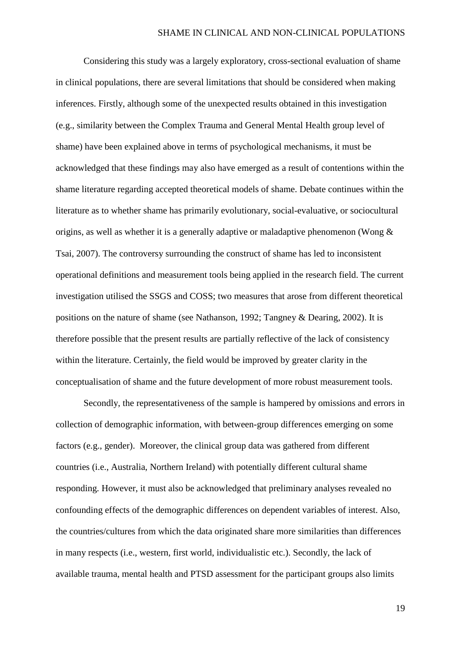Considering this study was a largely exploratory, cross-sectional evaluation of shame in clinical populations, there are several limitations that should be considered when making inferences. Firstly, although some of the unexpected results obtained in this investigation (e.g., similarity between the Complex Trauma and General Mental Health group level of shame) have been explained above in terms of psychological mechanisms, it must be acknowledged that these findings may also have emerged as a result of contentions within the shame literature regarding accepted theoretical models of shame. Debate continues within the literature as to whether shame has primarily evolutionary, social-evaluative, or sociocultural origins, as well as whether it is a generally adaptive or maladaptive phenomenon (Wong & Tsai, 2007). The controversy surrounding the construct of shame has led to inconsistent operational definitions and measurement tools being applied in the research field. The current investigation utilised the SSGS and COSS; two measures that arose from different theoretical positions on the nature of shame (see Nathanson, 1992; Tangney & Dearing, 2002). It is therefore possible that the present results are partially reflective of the lack of consistency within the literature. Certainly, the field would be improved by greater clarity in the conceptualisation of shame and the future development of more robust measurement tools.

Secondly, the representativeness of the sample is hampered by omissions and errors in collection of demographic information, with between-group differences emerging on some factors (e.g., gender). Moreover, the clinical group data was gathered from different countries (i.e., Australia, Northern Ireland) with potentially different cultural shame responding. However, it must also be acknowledged that preliminary analyses revealed no confounding effects of the demographic differences on dependent variables of interest. Also, the countries/cultures from which the data originated share more similarities than differences in many respects (i.e., western, first world, individualistic etc.). Secondly, the lack of available trauma, mental health and PTSD assessment for the participant groups also limits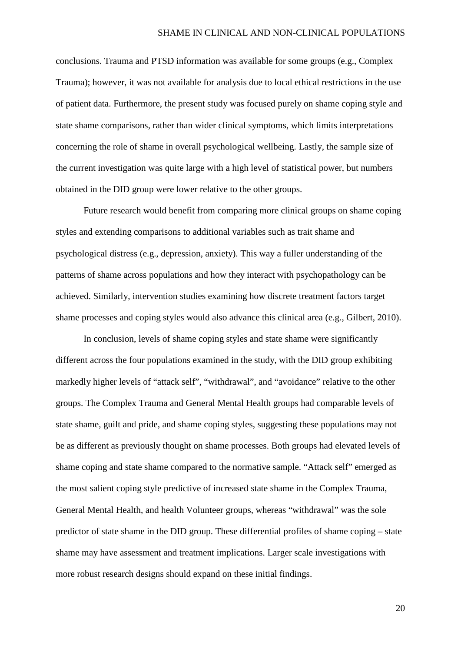conclusions. Trauma and PTSD information was available for some groups (e.g., Complex Trauma); however, it was not available for analysis due to local ethical restrictions in the use of patient data. Furthermore, the present study was focused purely on shame coping style and state shame comparisons, rather than wider clinical symptoms, which limits interpretations concerning the role of shame in overall psychological wellbeing. Lastly, the sample size of the current investigation was quite large with a high level of statistical power, but numbers obtained in the DID group were lower relative to the other groups.

Future research would benefit from comparing more clinical groups on shame coping styles and extending comparisons to additional variables such as trait shame and psychological distress (e.g., depression, anxiety). This way a fuller understanding of the patterns of shame across populations and how they interact with psychopathology can be achieved. Similarly, intervention studies examining how discrete treatment factors target shame processes and coping styles would also advance this clinical area (e.g., Gilbert, 2010).

In conclusion, levels of shame coping styles and state shame were significantly different across the four populations examined in the study, with the DID group exhibiting markedly higher levels of "attack self", "withdrawal", and "avoidance" relative to the other groups. The Complex Trauma and General Mental Health groups had comparable levels of state shame, guilt and pride, and shame coping styles, suggesting these populations may not be as different as previously thought on shame processes. Both groups had elevated levels of shame coping and state shame compared to the normative sample. "Attack self" emerged as the most salient coping style predictive of increased state shame in the Complex Trauma, General Mental Health, and health Volunteer groups, whereas "withdrawal" was the sole predictor of state shame in the DID group. These differential profiles of shame coping – state shame may have assessment and treatment implications. Larger scale investigations with more robust research designs should expand on these initial findings.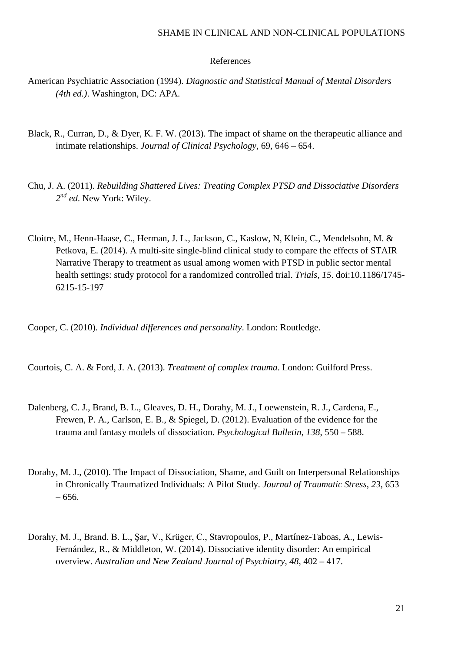#### SHAME IN CLINICAL AND NON-CLINICAL POPULATIONS

#### References

- American Psychiatric Association (1994). *Diagnostic and Statistical Manual of Mental Disorders (4th ed.)*. Washington, DC: APA.
- Black, R., Curran, D., & Dyer, K. F. W. (2013). The impact of shame on the therapeutic alliance and intimate relationships. *Journal of Clinical Psychology*, 69, 646 – 654.
- Chu, J. A. (2011). *Rebuilding Shattered Lives: Treating Complex PTSD and Dissociative Disorders 2nd ed*. New York: Wiley.
- Cloitre, M., Henn-Haase, C., Herman, J. L., Jackson, C., Kaslow, N, Klein, C., Mendelsohn, M. & Petkova, E. (2014). A multi-site single-blind clinical study to compare the effects of STAIR Narrative Therapy to treatment as usual among women with PTSD in public sector mental health settings: study protocol for a randomized controlled trial. *Trials*, *15*. doi:10.1186/1745- 6215-15-197

Cooper, C. (2010). *Individual differences and personality*. London: Routledge.

Courtois, C. A. & Ford, J. A. (2013). *Treatment of complex trauma*. London: Guilford Press.

- Dalenberg, C. J., Brand, B. L., Gleaves, D. H., Dorahy, M. J., Loewenstein, R. J., Cardena, E., Frewen, P. A., Carlson, E. B., & Spiegel, D. (2012). Evaluation of the evidence for the trauma and fantasy models of dissociation. *Psychological Bulletin*, *138*, 550 – 588.
- Dorahy, M. J., (2010). The Impact of Dissociation, Shame, and Guilt on Interpersonal Relationships in Chronically Traumatized Individuals: A Pilot Study. *Journal of Traumatic Stress*, *23*, 653 – 656.
- Dorahy, M. J., Brand, B. L., Şar, V., Krüger, C., Stavropoulos, P., Martínez-Taboas, A., Lewis-Fernández, R., & Middleton, W. (2014). Dissociative identity disorder: An empirical overview. *Australian and New Zealand Journal of Psychiatry*, *48*, 402 – 417.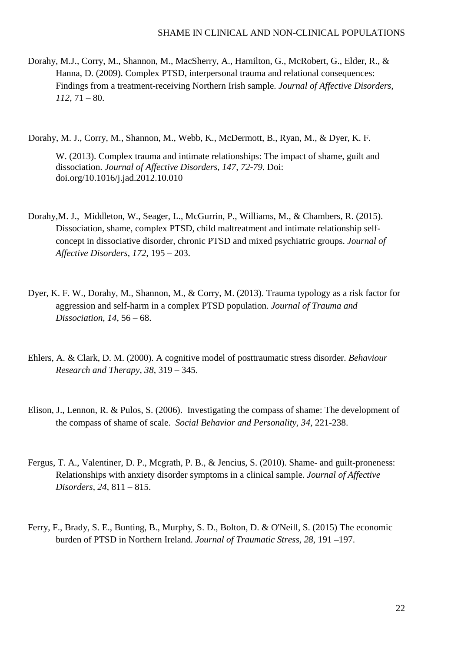Dorahy, M.J., Corry, M., Shannon, M., MacSherry, A., Hamilton, G., McRobert, G., Elder, R., & Hanna, D. (2009). Complex PTSD, interpersonal trauma and relational consequences: Findings from a treatment-receiving Northern Irish sample. *Journal of Affective Disorders*, *112*, 71 – 80.

Dorahy, M. J., Corry, M., Shannon, M., Webb, K., McDermott, B., Ryan, M., & Dyer, K. F.

W. (2013). Complex trauma and intimate relationships: The impact of shame, guilt and dissociation. *Journal of Affective Disorders, 147, 72-79*. Doi: doi.org/10.1016/j.jad.2012.10.010

- Dorahy,M. J., Middleton, W., Seager, L., McGurrin, P., Williams, M., & Chambers, R. (2015). Dissociation, shame, complex PTSD, child maltreatment and intimate relationship selfconcept in dissociative disorder, chronic PTSD and mixed psychiatric groups. *Journal of Affective Disorders*, *172*, 195 – 203.
- Dyer, K. F. W., Dorahy, M., Shannon, M., & Corry, M. (2013). Trauma typology as a risk factor for aggression and self-harm in a complex PTSD population. *Journal of Trauma and Dissociation*, *14*, 56 – 68.
- Ehlers, A. & Clark, D. M. (2000). A cognitive model of posttraumatic stress disorder. *Behaviour Research and Therapy*, *38*, 319 – 345.
- Elison, J., Lennon, R. & Pulos, S. (2006). Investigating the compass of shame: The development of the compass of shame of scale. *Social Behavior and Personality, 34,* 221-238.
- Fergus, T. A., Valentiner, D. P., Mcgrath, P. B., & Jencius, S. (2010). Shame- and guilt-proneness: Relationships with anxiety disorder symptoms in a clinical sample. *Journal of Affective Disorders*, *24*, 811 – 815.
- Ferry, F., Brady, S. E., Bunting, B., Murphy, S. D., Bolton, D. & O'Neill, S. (2015) The economic burden of PTSD in Northern Ireland. *Journal of Traumatic Stress*, *28*, 191 –197.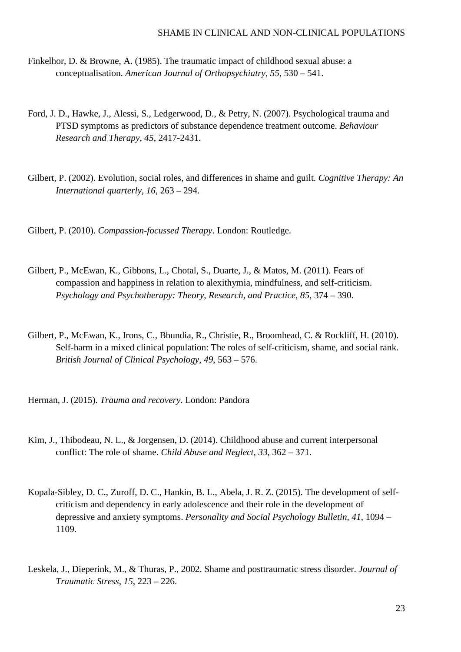- Finkelhor, D. & Browne, A. (1985). The traumatic impact of childhood sexual abuse: a conceptualisation. *American Journal of Orthopsychiatry*, *55*, 530 – 541.
- Ford, J. D., Hawke, J., Alessi, S., Ledgerwood, D., & Petry, N. (2007). Psychological trauma and PTSD symptoms as predictors of substance dependence treatment outcome. *Behaviour Research and Therapy, 45*, 2417-2431.
- Gilbert, P. (2002). Evolution, social roles, and differences in shame and guilt. *Cognitive Therapy: An International quarterly*, *16*, 263 – 294.

Gilbert, P. (2010). *Compassion-focussed Therapy*. London: Routledge.

- Gilbert, P., McEwan, K., Gibbons, L., Chotal, S., Duarte, J., & Matos, M. (2011). Fears of compassion and happiness in relation to alexithymia, mindfulness, and self-criticism. *Psychology and Psychotherapy: Theory, Research, and Practice*, *85*, 374 – 390.
- Gilbert, P., McEwan, K., Irons, C., Bhundia, R., Christie, R., Broomhead, C. & Rockliff, H. (2010). Self-harm in a mixed clinical population: The roles of self-criticism, shame, and social rank. *British Journal of Clinical Psychology*, *49*, 563 – 576.

Herman, J. (2015). *Trauma and recovery*. London: Pandora

- Kim, J., Thibodeau, N. L., & Jorgensen, D. (2014). Childhood abuse and current interpersonal conflict: The role of shame. *Child Abuse and Neglect*, *33*, 362 – 371.
- Kopala-Sibley, D. C., Zuroff, D. C., Hankin, B. L., Abela, J. R. Z. (2015). The development of selfcriticism and dependency in early adolescence and their role in the development of depressive and anxiety symptoms. *Personality and Social Psychology Bulletin*, *41*, 1094 – 1109.
- Leskela, J., Dieperink, M., & Thuras, P., 2002. Shame and posttraumatic stress disorder. *Journal of Traumatic Stress*, *15*, 223 – 226.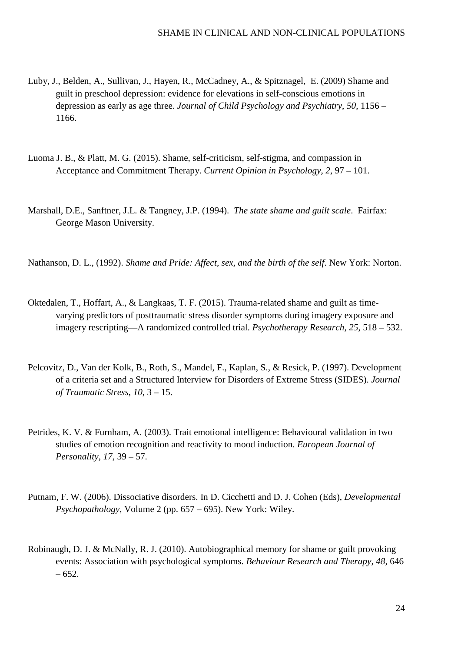- Luby, J., Belden, A., Sullivan, J., Hayen, R., McCadney, A., & Spitznagel, E. (2009) Shame and guilt in preschool depression: evidence for elevations in self-conscious emotions in depression as early as age three. *Journal of Child Psychology and Psychiatry*, *50*, 1156 – 1166.
- Luoma J. B., & Platt, M. G. (2015). Shame, self-criticism, self-stigma, and compassion in Acceptance and Commitment Therapy. *Current Opinion in Psychology*, *2*, 97 – 101.
- Marshall, D.E., Sanftner, J.L. & Tangney, J.P. (1994). *The state shame and guilt scale*. Fairfax: George Mason University.

Nathanson, D. L., (1992). *Shame and Pride: Affect, sex, and the birth of the self*. New York: Norton.

- Oktedalen, T., Hoffart, A., & Langkaas, T. F. (2015). Trauma-related shame and guilt as timevarying predictors of posttraumatic stress disorder symptoms during imagery exposure and imagery rescripting—A randomized controlled trial. *Psychotherapy Research*, *25*, 518 – 532.
- Pelcovitz, D., Van der Kolk, B., Roth, S., Mandel, F., Kaplan, S., & Resick, P. (1997). Development of a criteria set and a Structured Interview for Disorders of Extreme Stress (SIDES). *Journal of Traumatic Stress*, *10*, 3 – 15.
- Petrides, K. V. & Furnham, A. (2003). Trait emotional intelligence: Behavioural validation in two studies of emotion recognition and reactivity to mood induction. *European Journal of Personality*, *17*, 39 – 57.
- Putnam, F. W. (2006). Dissociative disorders. In D. Cicchetti and D. J. Cohen (Eds), *Developmental Psychopathology*, Volume 2 (pp. 657 – 695). New York: Wiley.
- Robinaugh, D. J. & McNally, R. J. (2010). Autobiographical memory for shame or guilt provoking events: Association with psychological symptoms. *Behaviour Research and Therapy*, *48*, 646 – 652.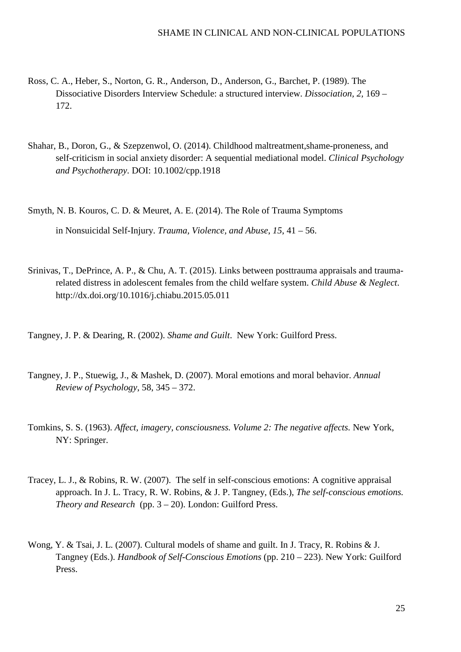- Ross, C. A., Heber, S., Norton, G. R., Anderson, D., Anderson, G., Barchet, P. (1989). The Dissociative Disorders Interview Schedule: a structured interview. *Dissociation, 2,* 169 – 172.
- Shahar, B., Doron, G., & Szepzenwol, O. (2014). Childhood maltreatment,shame-proneness, and self-criticism in social anxiety disorder: A sequential mediational model. *Clinical Psychology and Psychotherapy*. DOI: 10.1002/cpp.1918
- Smyth, N. B. Kouros, C. D. & Meuret, A. E. (2014). The Role of Trauma Symptoms in Nonsuicidal Self-Injury. *Trauma, Violence, and Abuse*, *15*, 41 – 56.
- Srinivas, T., DePrince, A. P., & Chu, A. T. (2015). Links between posttrauma appraisals and traumarelated distress in adolescent females from the child welfare system. *Child Abuse & Neglect*. http://dx.doi.org/10.1016/j.chiabu.2015.05.011
- Tangney, J. P. & Dearing, R. (2002). *Shame and Guilt*. New York: Guilford Press.
- Tangney, J. P., Stuewig, J., & Mashek, D. (2007). Moral emotions and moral behavior. *Annual Review of Psychology*, 58, 345 – 372.
- Tomkins, S. S. (1963). *Affect, imagery, consciousness. Volume 2: The negative affects.* New York, NY: Springer.
- Tracey, L. J., & Robins, R. W. (2007). The self in self-conscious emotions: A cognitive appraisal approach. In J. L. Tracy, R. W. Robins, & J. P. Tangney, (Eds.), *The self-conscious emotions. Theory and Research* (pp. 3 – 20). London: Guilford Press.
- Wong, Y. & Tsai, J. L. (2007). Cultural models of shame and guilt. In J. Tracy, R. Robins & J. Tangney (Eds.). *Handbook of Self-Conscious Emotions* (pp. 210 – 223). New York: Guilford Press.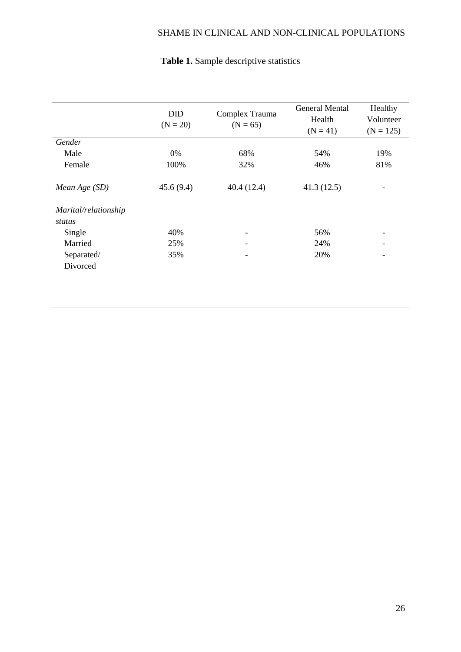# SHAME IN CLINICAL AND NON-CLINICAL POPULATIONS

|                                | <b>DID</b><br>$(N = 20)$ | Complex Trauma<br>$(N = 65)$ | <b>General Mental</b><br>Health<br>$(N = 41)$ | Healthy<br>Volunteer<br>$(N = 125)$ |
|--------------------------------|--------------------------|------------------------------|-----------------------------------------------|-------------------------------------|
| Gender                         |                          |                              |                                               |                                     |
| Male                           | 0%                       | 68%                          | 54%                                           | 19%                                 |
| Female                         | 100%                     | 32%                          | 46%                                           | 81%                                 |
| Mean Age (SD)                  | 45.6(9.4)                | 40.4(12.4)                   | 41.3(12.5)                                    |                                     |
| Marital/relationship<br>status |                          |                              |                                               |                                     |
| Single                         | 40%                      | ٠                            | 56%                                           |                                     |
| Married                        | 25%                      |                              | 24%                                           |                                     |
| Separated/                     | 35%                      |                              | 20%                                           |                                     |
| Divorced                       |                          |                              |                                               |                                     |
|                                |                          |                              |                                               |                                     |

# **Table 1.** Sample descriptive statistics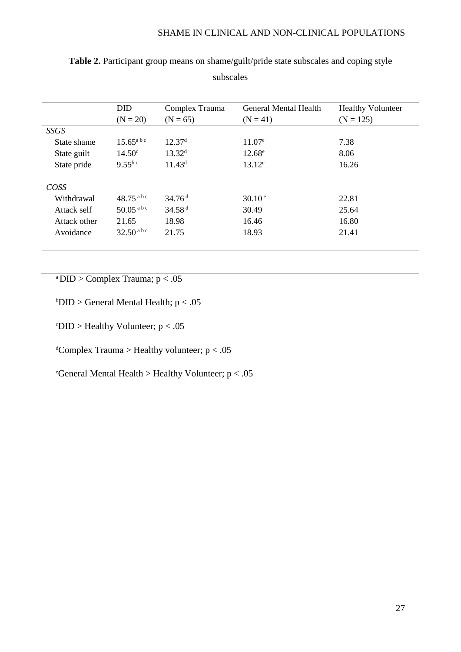|              | <b>DID</b>            | Complex Trauma     | <b>General Mental Health</b> | <b>Healthy Volunteer</b> |
|--------------|-----------------------|--------------------|------------------------------|--------------------------|
|              | $(N = 20)$            | $(N = 65)$         | $(N = 41)$                   | $(N = 125)$              |
| SSGS         |                       |                    |                              |                          |
| State shame  | $15.65^{\text{a bc}}$ | 12.37 <sup>d</sup> | $11.07^e$                    | 7.38                     |
| State guilt  | $14.50^{\circ}$       | 13.32 <sup>d</sup> | $12.68^e$                    | 8.06                     |
| State pride  | $9.55^{b c}$          | $11.43^d$          | $13.12^e$                    | 16.26                    |
| <b>COSS</b>  |                       |                    |                              |                          |
| Withdrawal   | $48.75^{abc}$         | 34.76 <sup>d</sup> | $30.10^{\circ}$              | 22.81                    |
| Attack self  | $50.05^{abc}$         | 34.58 <sup>d</sup> | 30.49                        | 25.64                    |
| Attack other | 21.65                 | 18.98              | 16.46                        | 16.80                    |
| Avoidance    | $32.50^{abc}$         | 21.75              | 18.93                        | 21.41                    |

**Table 2.** Participant group means on shame/guilt/pride state subscales and coping style subscales

<sup>a</sup> DID > Complex Trauma;  $p < .05$ 

 $b$ DID > General Mental Health;  $p < .05$ 

 $\text{CDID} > \text{Healthy Volunter; } p < .05$ 

 $\alpha$ <sup>d</sup>Complex Trauma > Healthy volunteer; p < .05

e General Mental Health > Healthy Volunteer; p < .05